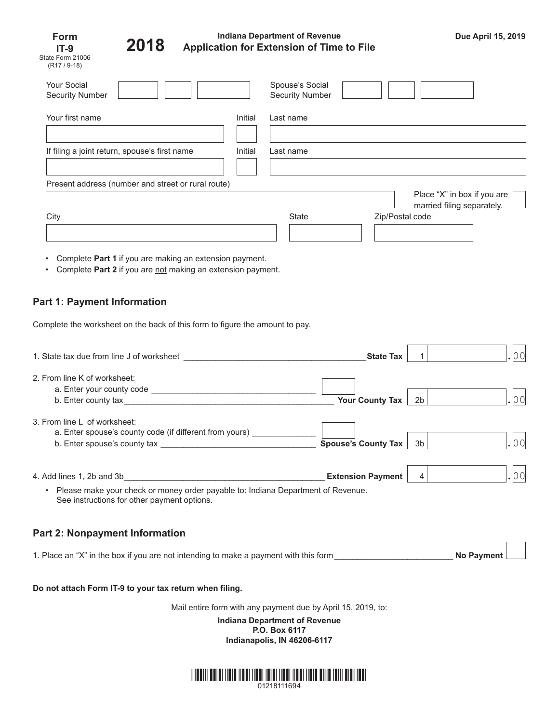| Form             |  |  |  |  |
|------------------|--|--|--|--|
| IT-9             |  |  |  |  |
| State Form 21006 |  |  |  |  |
| $(R17/9-18)$     |  |  |  |  |



## **Indiana Department of Revenue Application for Extension of Time to File Due April 15, 2019 2018**

 $\overline{1}$ 

| <b>Your Social</b><br><b>Security Number</b>       |         | Spouse's Social<br><b>Security Number</b> |                                                           |
|----------------------------------------------------|---------|-------------------------------------------|-----------------------------------------------------------|
| Your first name                                    | Initial | Last name                                 |                                                           |
| If filing a joint return, spouse's first name      | Initial | Last name                                 |                                                           |
| Present address (number and street or rural route) |         |                                           |                                                           |
|                                                    |         |                                           | Place "X" in box if you are<br>married filing separately. |
| City                                               |         | State                                     | Zip/Postal code                                           |

- Complete **Part 1** if you are making an extension payment.
- Complete Part 2 if you are not making an extension payment.

# **Part 1: Payment Information**

Complete the worksheet on the back of this form to figure the amount to pay.

| 1. State tax due from line J of worksheet                                                                                                    | <b>State Tax</b>         |    |                   |
|----------------------------------------------------------------------------------------------------------------------------------------------|--------------------------|----|-------------------|
| 2. From line K of worksheet:                                                                                                                 | <b>Your County Tax</b>   | 2b | 00                |
| 3. From line L of worksheet:<br>a. Enter spouse's county code (if different from yours) _____                                                | Spouse's County Tax      | 3b |                   |
| Please make your check or money order payable to: Indiana Department of Revenue.<br>$\bullet$<br>See instructions for other payment options. | <b>Extension Payment</b> | 4  | 00                |
| <b>Part 2: Nonpayment Information</b>                                                                                                        |                          |    |                   |
| 1. Place an "X" in the box if you are not intending to make a payment with this form                                                         |                          |    | <b>No Payment</b> |

### **Do not attach Form IT-9 to your tax return when filing.**

Mail entire form with any payment due by April 15, 2019, to:

**Indiana Department of Revenue P.O. Box 6117 Indianapolis, IN 46206-6117**